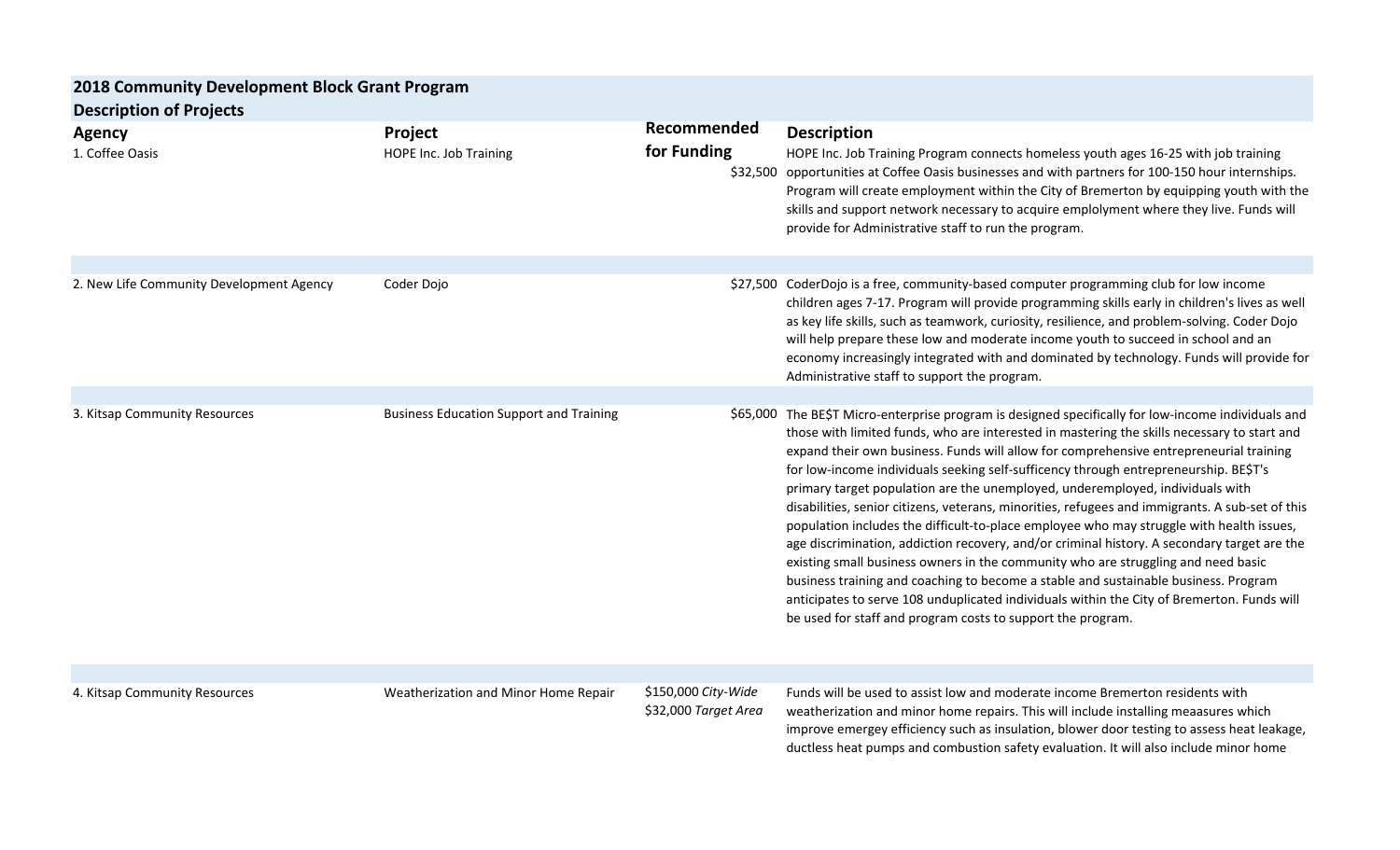| 2018 Community Development Block Grant Program |                                                |                                             |                                                                                                                                                                                                                                                                                                                                                                                                                                                                                                                                                                                                                                                                                                                                                                                                                                                                                                                                                                                                                                                                                                              |  |  |
|------------------------------------------------|------------------------------------------------|---------------------------------------------|--------------------------------------------------------------------------------------------------------------------------------------------------------------------------------------------------------------------------------------------------------------------------------------------------------------------------------------------------------------------------------------------------------------------------------------------------------------------------------------------------------------------------------------------------------------------------------------------------------------------------------------------------------------------------------------------------------------------------------------------------------------------------------------------------------------------------------------------------------------------------------------------------------------------------------------------------------------------------------------------------------------------------------------------------------------------------------------------------------------|--|--|
| <b>Description of Projects</b>                 |                                                |                                             |                                                                                                                                                                                                                                                                                                                                                                                                                                                                                                                                                                                                                                                                                                                                                                                                                                                                                                                                                                                                                                                                                                              |  |  |
| <b>Agency</b><br>1. Coffee Oasis               | Project<br><b>HOPE Inc. Job Training</b>       | Recommended<br>for Funding                  | <b>Description</b><br>HOPE Inc. Job Training Program connects homeless youth ages 16-25 with job training<br>\$32,500 opportunities at Coffee Oasis businesses and with partners for 100-150 hour internships.<br>Program will create employment within the City of Bremerton by equipping youth with the<br>skills and support network necessary to acquire emplolyment where they live. Funds will<br>provide for Administrative staff to run the program.                                                                                                                                                                                                                                                                                                                                                                                                                                                                                                                                                                                                                                                 |  |  |
| 2. New Life Community Development Agency       | Coder Dojo                                     |                                             | \$27,500 CoderDojo is a free, community-based computer programming club for low income<br>children ages 7-17. Program will provide programming skills early in children's lives as well<br>as key life skills, such as teamwork, curiosity, resilience, and problem-solving. Coder Dojo<br>will help prepare these low and moderate income youth to succeed in school and an<br>economy increasingly integrated with and dominated by technology. Funds will provide for<br>Administrative staff to support the program.                                                                                                                                                                                                                                                                                                                                                                                                                                                                                                                                                                                     |  |  |
| 3. Kitsap Community Resources                  | <b>Business Education Support and Training</b> |                                             | \$65,000 The BE\$T Micro-enterprise program is designed specifically for low-income individuals and<br>those with limited funds, who are interested in mastering the skills necessary to start and<br>expand their own business. Funds will allow for comprehensive entrepreneurial training<br>for low-income individuals seeking self-sufficency through entrepreneurship. BE\$T's<br>primary target population are the unemployed, underemployed, individuals with<br>disabilities, senior citizens, veterans, minorities, refugees and immigrants. A sub-set of this<br>population includes the difficult-to-place employee who may struggle with health issues,<br>age discrimination, addiction recovery, and/or criminal history. A secondary target are the<br>existing small business owners in the community who are struggling and need basic<br>business training and coaching to become a stable and sustainable business. Program<br>anticipates to serve 108 unduplicated individuals within the City of Bremerton. Funds will<br>be used for staff and program costs to support the program. |  |  |
| 4. Kitsap Community Resources                  | Weatherization and Minor Home Repair           | \$150,000 City-Wide<br>\$32,000 Target Area | Funds will be used to assist low and moderate income Bremerton residents with<br>weatherization and minor home repairs. This will include installing meaasures which<br>improve emergey efficiency such as insulation, blower door testing to assess heat leakage,<br>ductless heat pumps and combustion safety evaluation. It will also include minor home                                                                                                                                                                                                                                                                                                                                                                                                                                                                                                                                                                                                                                                                                                                                                  |  |  |